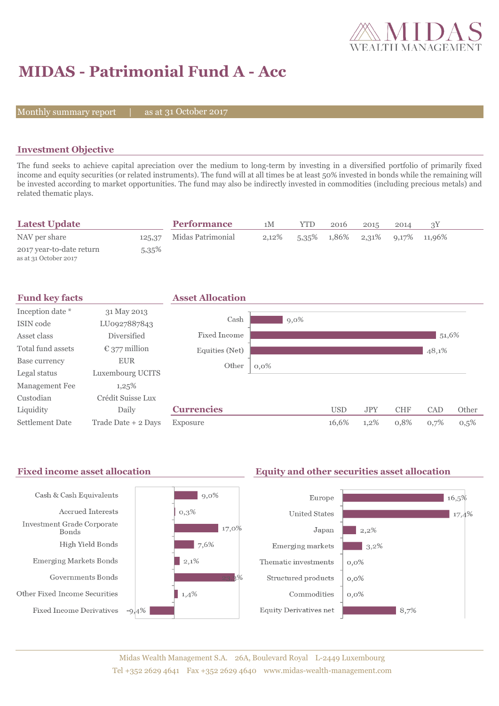

# **MIDAS - Patrimonial Fund A - Acc**

Monthly summary report  $|$ 

31 October 2017

## **Investment Objective**

The fund seeks to achieve capital apreciation over the medium to long-term by investing in a diversified portfolio of primarily fixed income and equity securities (or related instruments). The fund will at all times be at least 50% invested in bonds while the remaining will be invested according to market opportunities. The fund may also be indirectly invested in commodities (including precious metals) and related thematic plays.

| <b>Latest Update</b>                              |          | <b>Performance</b>       | 1M       | <b>YTD</b> | 2016 | 2015                                          | 2014 |  |
|---------------------------------------------------|----------|--------------------------|----------|------------|------|-----------------------------------------------|------|--|
| NAV per share                                     |          | 125.37 Midas Patrimonial | $2,12\%$ |            |      | $5.35\%$ $1.86\%$ $2.31\%$ $9.17\%$ $11.96\%$ |      |  |
| 2017 year-to-date return<br>as at 31 October 2017 | $5,35\%$ |                          |          |            |      |                                               |      |  |



#### Fixed income asset allocation **Equity and other securities asset allocation** Cash & Cash Equivalents  $\vert$  9,0% Europe  $16,5%$ Accrued Interests  $0.3%$ **United States**  $17,4%$ Investment Grade Corporate  $17,0\%$ Japan  $12.2\%$ Bonds High Yield Bonds  $7,6%$ Emerging markets  $3,2\%$ **Emerging Markets Bonds**  $\vert$  2,1% Thematic investments  $0,0\%$ Governments Bonds Structured products  $0,0\%$ Other Fixed Income Securities  $1,4%$ Commodities  $0.0\%$ **Fixed Income Derivatives**  $-9,4%$ **Equity Derivatives net**  $8,7%$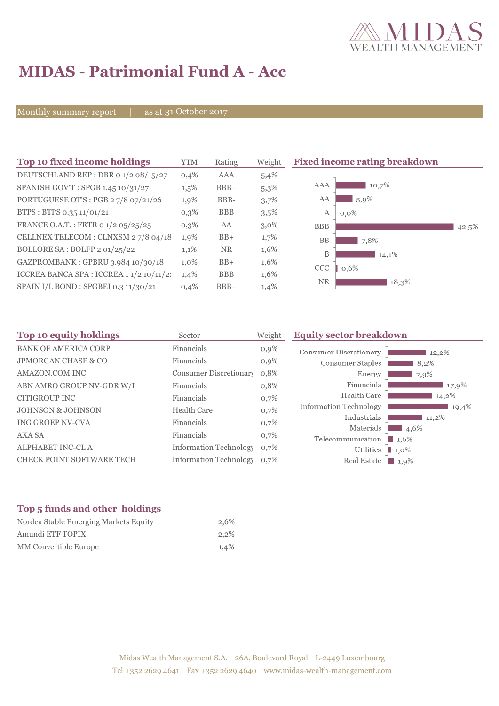

# **MIDAS - Patrimonial Fund A - Acc**

Monthly summary report | as at 31 October 2017

| Top 10 fixed income holdings             | <b>YTM</b> | Rating     | Weight  | <b>Fixed income rating breakdown</b> |       |
|------------------------------------------|------------|------------|---------|--------------------------------------|-------|
| DEUTSCHLAND REP : DBR 0 1/2 08/15/27     | 0,4%       | AAA        | 5,4%    |                                      |       |
| SPANISH GOV'T: SPGB 1.45 10/31/27        | $1,5\%$    | $BBB+$     | 5,3%    | AAA<br>10,7%                         |       |
| PORTUGUESE OT'S : PGB 27/8 07/21/26      | 1,9%       | BBB-       | 3,7%    | AA<br>5,9%                           |       |
| BTPS: BTPS 0.35 11/01/21                 | $0,3\%$    | <b>BBB</b> | 3,5%    | А<br>$0.0\%$                         |       |
| FRANCE O.A.T.: FRTR 0 1/2 05/25/25       | $0,3\%$    | AA         | $3,0\%$ | <b>BBB</b>                           | 42,5% |
| CELLNEX TELECOM : CLNXSM 27/8 04/18      | $1,9\%$    | $BB+$      | $1,7\%$ | <b>BB</b><br>7,8%                    |       |
| BOLLORE SA: BOLFP 2 01/25/22             | 1,1%       | <b>NR</b>  | 1,6%    | B<br>14,1%                           |       |
| GAZPROMBANK: GPBRU 3.984 10/30/18        | $1,0\%$    | $BB+$      | 1,6%    | <b>CCC</b><br>0,6%                   |       |
| ICCREA BANCA SPA : ICCREA 1 1/2 10/11/2: | 1,4%       | <b>BBB</b> | 1,6%    |                                      |       |
| SPAIN I/L BOND : SPGBEI 0.3 11/30/21     | 0,4%       | $BBB+$     | 1,4%    | <b>NR</b><br>18,3%                   |       |

| Top 10 equity holdings<br>Sector |                               | Weight  | <b>Equity sector breakdown</b>                     |                     |  |
|----------------------------------|-------------------------------|---------|----------------------------------------------------|---------------------|--|
| <b>BANK OF AMERICA CORP</b>      | Financials                    | $0,9\%$ | Consumer Discretionary                             | 12,2%               |  |
| <b>JPMORGAN CHASE &amp; CO</b>   | Financials                    | 0,9%    | Consumer Staples                                   | 8,2%                |  |
| <b>AMAZON.COM INC</b>            | Consumer Discretionary        | 0,8%    | Energy                                             | 7,9%                |  |
| ABN AMRO GROUP NV-GDR W/I        | Financials                    | 0,8%    | Financials                                         | 17,9%               |  |
| CITIGROUP INC                    | Financials                    | 0,7%    | Health Care                                        | 14,2%               |  |
| <b>JOHNSON &amp; JOHNSON</b>     | <b>Health Care</b>            | 0,7%    | <b>Information Technology</b>                      | 19,4%               |  |
| ING GROEP NV-CVA                 | Financials                    | 0,7%    | Industrials                                        | $11,2\%$            |  |
| AXA SA                           | Financials                    | 0,7%    | Materials<br>Telecommunication $\blacksquare$ 1,6% | 4,6%                |  |
| ALPHABET INC-CL A                | <b>Information Technology</b> | 0,7%    | Utilities                                          | $\blacksquare$ 1,0% |  |
| <b>CHECK POINT SOFTWARE TECH</b> | <b>Information Technology</b> | 0.7%    | Real Estate                                        | 1,9%                |  |

# **Top 5 funds and other holdings**

| Nordea Stable Emerging Markets Equity | 2,6% |
|---------------------------------------|------|
| Amundi ETF TOPIX                      | 2.2% |
| MM Convertible Europe                 | 1.4% |